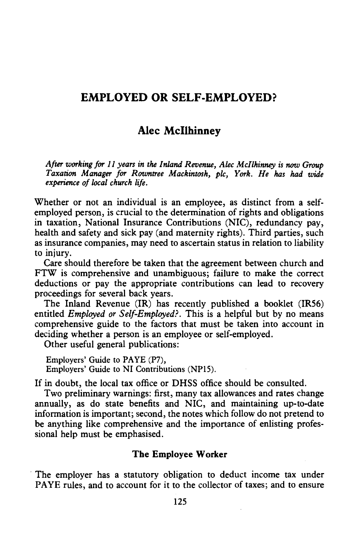## EMPLOYED OR SELF-EMPLOYED?

# Alec Mcllhinney

*After working for 11 years in the Inland Revenue, Alec Mcllhinney is* now *Group Taxation Manager for Rowntree Mackintosh, plc, York. He has had wide experience of local church life.* 

Whether or not an individual is an employee, as distinct from a selfemployed person, is crucial to the determination of rights and obligations in taxation, National Insurance Contributions (NIC), redundancy pay, health and safety and sick pay (and maternity rights). Third parties, such as insurance companies, may need to ascertain status in relation to liability to injury.

Care should therefore be taken that the agreement between church and FTW is comprehensive and unambiguous; failure to make the correct deductions or pay the appropriate contributions can lead to recovery proceedings for several back years.

The Inland Revenue (IR) has recently published a booklet (IRS6) entitled *Employed or Self-Employed?.* This is a helpful but by no means comprehensive guide to the factors that must be taken into account in deciding whether a person is an employee or self-employed.

Other useful general publications:

Employers' Guide to PAYE (P7), Employers' Guide to NI Contributions (NPlS).

If in doubt, the local tax office or DHSS office should be consulted.

Two preliminary warnings: first, many tax allowances and rates change annually, as do state benefits and NIC, and maintaining up-to-date information is important; second, the notes which follow do not pretend to be anything like comprehensive and the importance of enlisting professional help must be emphasised.

### The Employee Worker

The employer has a statutory obligation to deduct income tax under PAYE rules, and to account for it to the collector of taxes; and to ensure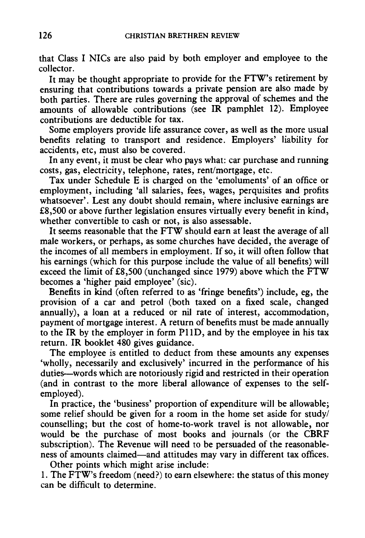that Class I NICs are also paid by both employer and employee to the collector.

It may be thought appropriate to provide for the FTW's retirement by ensuring that contributions towards a private pension are also made by both parties. There are rules governing the approval of schemes and the amounts of allowable contributions (see IR pamphlet 12). Employee contributions are deductible for tax.

Some employers provide life assurance cover, as well as the more usual benefits relating to transport and residence. Employers' liability for accidents, etc, must also be covered.

In any event, it must be clear who pays what: car purchase and running costs, gas, electricity, telephone, rates, rent/mortgage, etc.

Tax under Schedule E is charged on the 'emoluments' of an office or employment, including 'all salaries, fees, wages, perquisites and profits whatsoever'. Lest any doubt should remain, where inclusive earnings are £8,500 or above further legislation ensures virtually every benefit in kind, whether convertible to cash or not, is also assessable.

It seems reasonable that the FTW should earn at least the average of all male workers, or perhaps, as some churches have decided, the average of the incomes of all members in employment. If so, it will often follow that his earnings (which for this purpose include the value of all benefits) will exceed the limit of £8,500 (unchanged since 1979) above which the FTW becomes a 'higher paid employee' (sic).

Benefits in kind (often referred to as 'fringe benefits') include, eg, the provision of a car and petrol (both taxed on a fixed scale, changed annually), a loan at a reduced or nil rate of interest, accommodation, payment of mortgage interest. A return of benefits must be made annually to the IR by the employer in form P11D, and by the employee in his tax return. IR booklet 480 gives guidance.

The employee is entitled to deduct from these amounts any expenses 'wholly, necessarily and exclusively' incurred in the performance of his duties-words which are notoriously rigid and restricted in their operation (and in contrast to the more liberal allowance of expenses to the selfemployed).

In practice, the 'business' proportion of expenditure will be allowable; some relief should be given for a room in the home set aside for study/ counselling; but the cost of home-to-work travel is not allowable, nor would be the purchase of most books and journals (or the CBRF subscription). The Revenue will need to be persuaded of the reasonableness of amounts claimed-and attitudes may vary in different tax offices.

Other points which might arise include:

1. The FTW's freedom (need?) to earn elsewhere: the status of this money can be difficult to determine.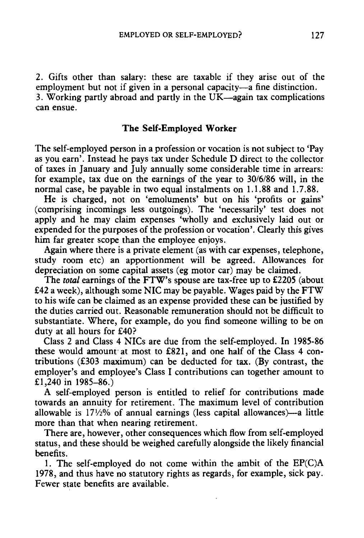*2.* Gifts other than salary: these are taxable if they arise out of the employment but not if given in a personal capacity- $\overline{a}$  fine distinction. 3. Working partly abroad and partly in the  $UK$ -again tax complications can ensue.

### **The Self-Employed Worker**

The self-employed person in a profession or vocation is not subject to 'Pay as you earn'. Instead he pays tax under Schedule D direct to the collector of taxes in January and July annually some considerable time in arrears: for example, tax due on the earnings of the year to 30/6/86 will, in the normal case, be payable in two equal instalments on 1.1.88 and 1.7.88.

He is charged, not on 'emoluments' but on his 'profits or gains' (comprising incomings less outgoings). The 'necessarily' test does not apply and he may claim expenses 'wholly and exclusively laid out or expended for the purposes of the profession or vocation'. Clearly this gives him far greater scope than the employee enjoys.

Again where there is a private element (as with car expenses, telephone, study room etc) an apportionment will be agreed. Allowances for depreciation on some capital assets (eg motor car) may be claimed.

The *total* earnings of the FTW's spouse are tax-free up to *£2205* (about £42 a week), although some NIC may be payable. Wages paid by the FTW to his wife can be claimed as an expense provided these can be justified by the duties carried out. Reasonable remuneration should not be difficult to substantiate. Where, for example, do you find someone willing to be on duty at all hours for £40?

Class 2 and Class 4 NICs are due from the self-employed. In 1985-86 these would amount at most to £821, and one half of the Class 4 contributions (£303 maximum) can be deducted for tax. (By contrast, the employer's and employee's Class I contributions can together amount to £1,240 in 1985-86.)

A self-employed person is entitled to relief for contributions made towards an annuity for retirement. The maximum level of contribution allowable is  $17\frac{1}{2}\%$  of annual earnings (less capital allowances)—a little more than that when nearing retirement.

There are, however, other consequences which flow from self-employed status, and these should be weighed carefully alongside the likely financial benefits.

1. The self-employed do not come within the ambit of the EP(C)A 1978, and thus have no statutory rights as regards, for example, sick pay. Fewer state benefits are available.